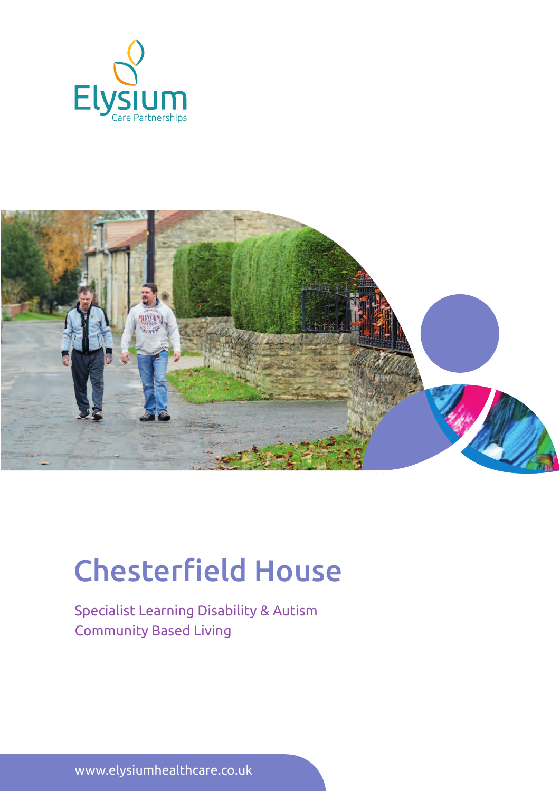



# Chesterfield House

Specialist Learning Disability & Autism Community Based Living

www.elysiumhealthcare.co.uk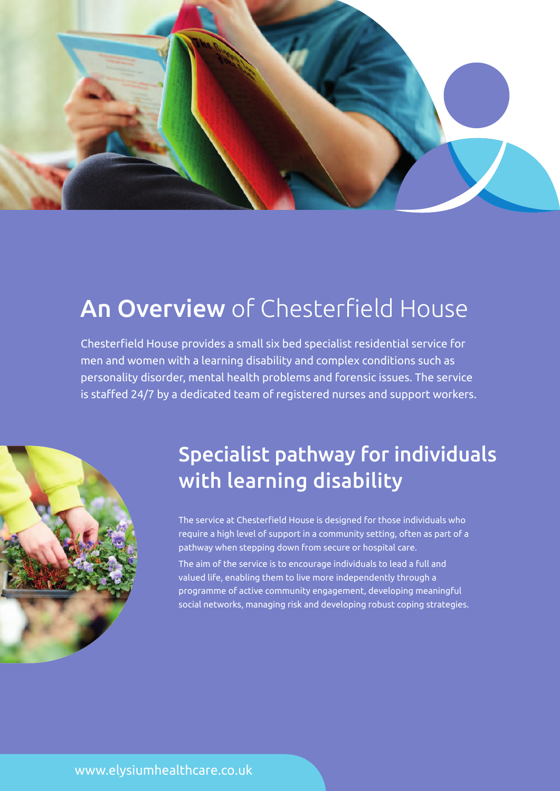

# An Overview of Chesterfield House

Chesterfield House provides a small six bed specialist residential service for men and women with a learning disability and complex conditions such as personality disorder, mental health problems and forensic issues. The service is staffed 24/7 by a dedicated team of registered nurses and support workers.



## Specialist pathway for individuals with learning disability

The service at Chesterfield House is designed for those individuals who require a high level of support in a community setting, often as part of a pathway when stepping down from secure or hospital care. The aim of the service is to encourage individuals to lead a full and valued life, enabling them to live more independently through a programme of active community engagement, developing meaningful social networks, managing risk and developing robust coping strategies.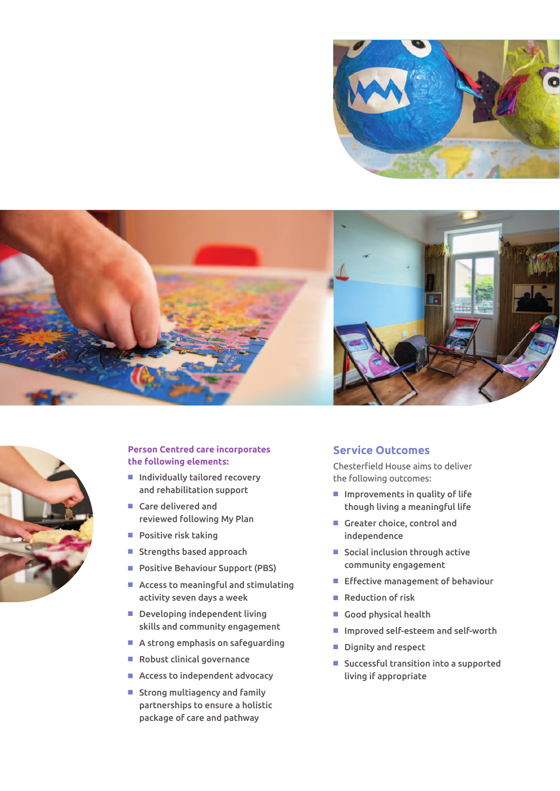





#### **Person Centred care incorporates the following elements:**

- Individually tailored recovery and rehabilitation support
- Care delivered and reviewed following My Plan
- $\blacksquare$  Positive risk taking
- Strengths based approach
- Positive Behaviour Support (PBS)
- $\blacksquare$  Access to meaningful and stimulating activity seven days a week
- $\blacksquare$  Developing independent living skills and community engagement
- $\blacksquare$  A strong emphasis on safeguarding
- $\blacksquare$  Robust clinical governance
- $\blacksquare$  Access to independent advocacy
- $\blacksquare$  Strong multiagency and family partnerships to ensure a holistic package of care and pathway

#### **Service Outcomes**

Chesterfield House aims to deliver the following outcomes:

- $\blacksquare$  Improvements in quality of life though living a meaningful life
- $\blacksquare$  Greater choice, control and independence
- $\blacksquare$  Social inclusion through active community engagement
- $E$  Effective management of behaviour
- $\blacksquare$  Reduction of risk
- Good physical health
- Improved self-esteem and self-worth
- Dignity and respect
- $\blacksquare$  Successful transition into a supported living if appropriate